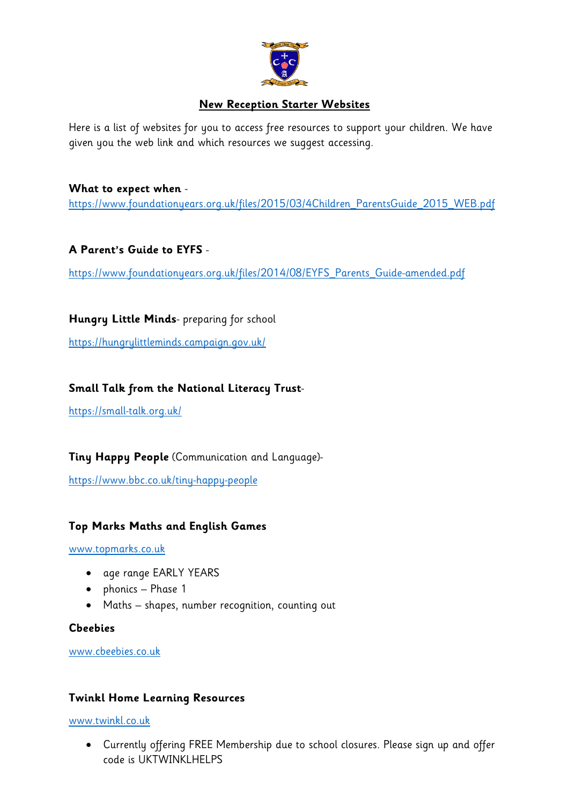

## **New Reception Starter Websites**

Here is a list of websites for you to access free resources to support your children. We have given you the web link and which resources we suggest accessing.

#### **What to expect when** -

[https://www.foundationyears.org.uk/files/2015/03/4Children\\_ParentsGuide\\_2015\\_WEB.pdf](https://www.foundationyears.org.uk/files/2015/03/4Children_ParentsGuide_2015_WEB.pdf)

### **A Parent's Guide to EYFS** -

https://www.foundationyears.org.uk/files/2014/08/EYFS\_Parents\_Guide-amended.pdf

**Hungry Little Minds**- preparing for school

<https://hungrylittleminds.campaign.gov.uk/>

## **Small Talk from the National Literacy Trust**-

<https://small-talk.org.uk/>

**Tiny Happy People** (Communication and Language)-

<https://www.bbc.co.uk/tiny-happy-people>

### **Top Marks Maths and English Games**

[www.topmarks.co.uk](http://www.topmarks.co.uk/)

- age range EARLY YEARS
- phonics Phase 1
- Maths shapes, number recognition, counting out

### **Cbeebies**

[www.cbeebies.co.uk](http://www.cbeebies.co.uk/)

#### **Twinkl Home Learning Resources**

[www.twinkl.co.uk](http://www.twinkl.co.uk/)

 Currently offering FREE Membership due to school closures. Please sign up and offer code is UKTWINKLHELPS